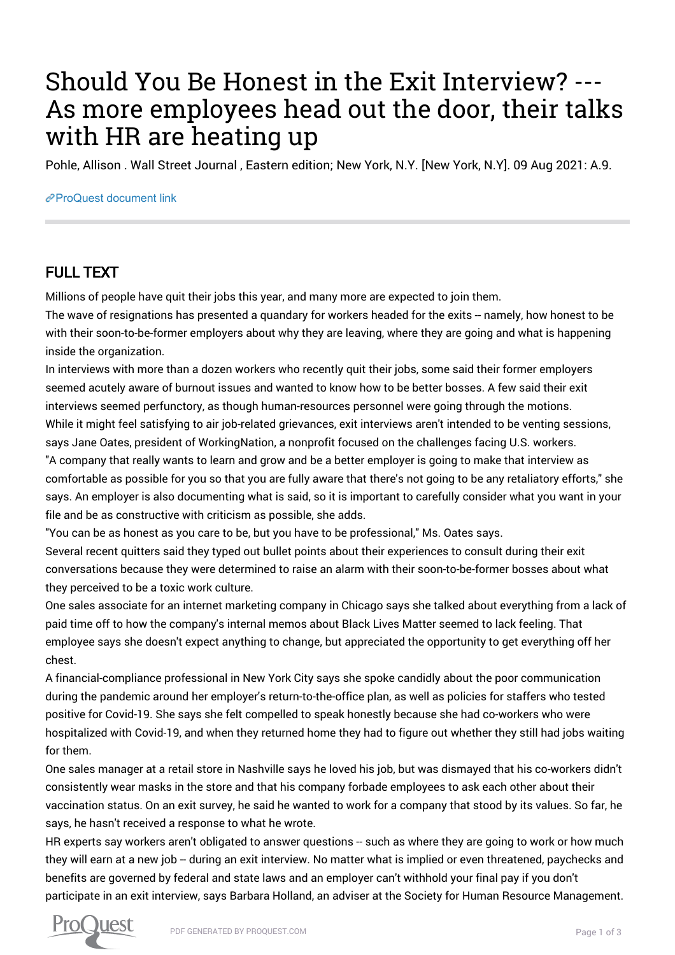## Should You Be Honest in the Exit Interview? --- As more employees head out the door, their talks with HR are heating up

Pohle, Allison . Wall Street Journal , Eastern edition; New York, N.Y. [New York, N.Y]. 09 Aug 2021: A.9.

## [ProQuest document link](https://www.proquest.com/newspapers/should-you-be-honest-exit-interview-as-more/docview/2559369779/se-2?accountid=44910)

## FULL TEXT

Millions of people have quit their jobs this year, and many more are expected to join them.

The wave of resignations has presented a quandary for workers headed for the exits -- namely, how honest to be with their soon-to-be-former employers about why they are leaving, where they are going and what is happening inside the organization.

In interviews with more than a dozen workers who recently quit their jobs, some said their former employers seemed acutely aware of burnout issues and wanted to know how to be better bosses. A few said their exit interviews seemed perfunctory, as though human-resources personnel were going through the motions. While it might feel satisfying to air job-related grievances, exit interviews aren't intended to be venting sessions, says Jane Oates, president of WorkingNation, a nonprofit focused on the challenges facing U.S. workers.

"A company that really wants to learn and grow and be a better employer is going to make that interview as comfortable as possible for you so that you are fully aware that there's not going to be any retaliatory efforts," she says. An employer is also documenting what is said, so it is important to carefully consider what you want in your file and be as constructive with criticism as possible, she adds.

"You can be as honest as you care to be, but you have to be professional," Ms. Oates says.

Several recent quitters said they typed out bullet points about their experiences to consult during their exit conversations because they were determined to raise an alarm with their soon-to-be-former bosses about what they perceived to be a toxic work culture.

One sales associate for an internet marketing company in Chicago says she talked about everything from a lack of paid time off to how the company's internal memos about Black Lives Matter seemed to lack feeling. That employee says she doesn't expect anything to change, but appreciated the opportunity to get everything off her chest.

A financial-compliance professional in New York City says she spoke candidly about the poor communication during the pandemic around her employer's return-to-the-office plan, as well as policies for staffers who tested positive for Covid-19. She says she felt compelled to speak honestly because she had co-workers who were hospitalized with Covid-19, and when they returned home they had to figure out whether they still had jobs waiting for them.

One sales manager at a retail store in Nashville says he loved his job, but was dismayed that his co-workers didn't consistently wear masks in the store and that his company forbade employees to ask each other about their vaccination status. On an exit survey, he said he wanted to work for a company that stood by its values. So far, he says, he hasn't received a response to what he wrote.

HR experts say workers aren't obligated to answer questions -- such as where they are going to work or how much they will earn at a new job -- during an exit interview. No matter what is implied or even threatened, paychecks and benefits are governed by federal and state laws and an employer can't withhold your final pay if you don't participate in an exit interview, says Barbara Holland, an adviser at the Society for Human Resource Management.

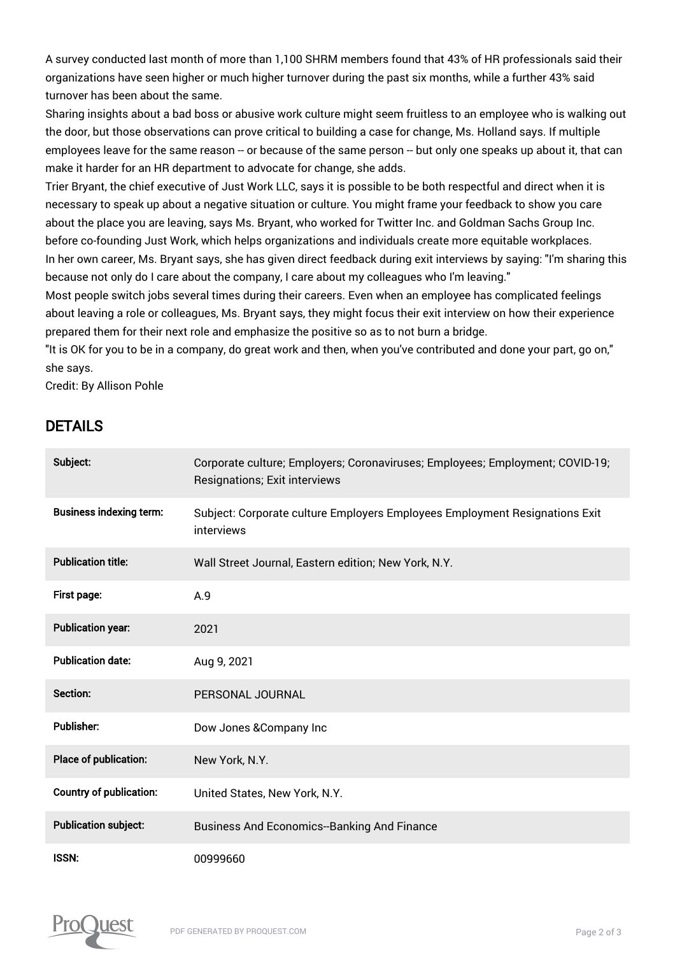A survey conducted last month of more than 1,100 SHRM members found that 43% of HR professionals said their organizations have seen higher or much higher turnover during the past six months, while a further 43% said turnover has been about the same.

Sharing insights about a bad boss or abusive work culture might seem fruitless to an employee who is walking out the door, but those observations can prove critical to building a case for change, Ms. Holland says. If multiple employees leave for the same reason -- or because of the same person -- but only one speaks up about it, that can make it harder for an HR department to advocate for change, she adds.

Trier Bryant, the chief executive of Just Work LLC, says it is possible to be both respectful and direct when it is necessary to speak up about a negative situation or culture. You might frame your feedback to show you care about the place you are leaving, says Ms. Bryant, who worked for Twitter Inc. and Goldman Sachs Group Inc. before co-founding Just Work, which helps organizations and individuals create more equitable workplaces. In her own career, Ms. Bryant says, she has given direct feedback during exit interviews by saying: "I'm sharing this because not only do I care about the company, I care about my colleagues who I'm leaving."

Most people switch jobs several times during their careers. Even when an employee has complicated feelings about leaving a role or colleagues, Ms. Bryant says, they might focus their exit interview on how their experience prepared them for their next role and emphasize the positive so as to not burn a bridge.

"It is OK for you to be in a company, do great work and then, when you've contributed and done your part, go on," she says.

Credit: By Allison Pohle

## DETAILS

| Subject:                       | Corporate culture; Employers; Coronaviruses; Employees; Employment; COVID-19;<br>Resignations; Exit interviews |
|--------------------------------|----------------------------------------------------------------------------------------------------------------|
| <b>Business indexing term:</b> | Subject: Corporate culture Employers Employees Employment Resignations Exit<br>interviews                      |
| <b>Publication title:</b>      | Wall Street Journal, Eastern edition; New York, N.Y.                                                           |
| First page:                    | A.9                                                                                                            |
| <b>Publication year:</b>       | 2021                                                                                                           |
| <b>Publication date:</b>       | Aug 9, 2021                                                                                                    |
| Section:                       | PERSONAL JOURNAL                                                                                               |
| <b>Publisher:</b>              | Dow Jones & Company Inc                                                                                        |
| Place of publication:          | New York, N.Y.                                                                                                 |
| <b>Country of publication:</b> | United States, New York, N.Y.                                                                                  |
| <b>Publication subject:</b>    | <b>Business And Economics-Banking And Finance</b>                                                              |
| <b>ISSN:</b>                   | 00999660                                                                                                       |